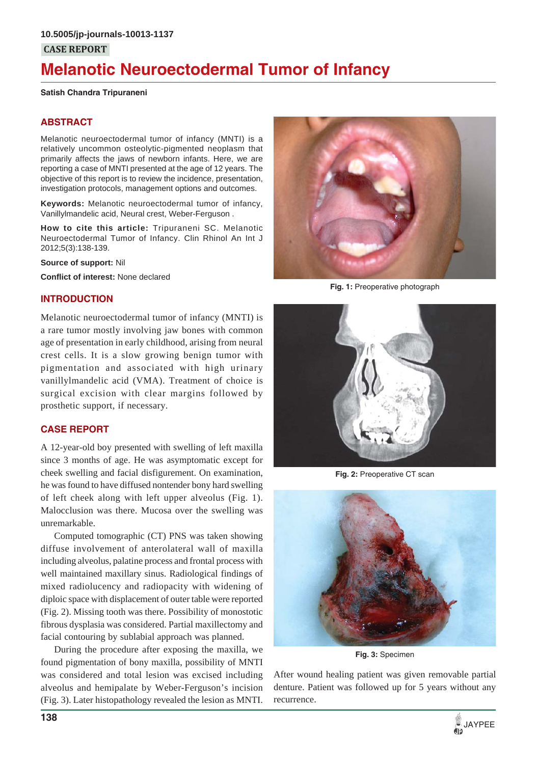# **Melanotic Neuroectodermal Tumor of Infancy**

#### **Satish Chandra Tripuraneni**

# **ABSTRACT**

Melanotic neuroectodermal tumor of infancy (MNTI) is a relatively uncommon osteolytic-pigmented neoplasm that primarily affects the jaws of newborn infants. Here, we are reporting a case of MNTI presented at the age of 12 years. The objective of this report is to review the incidence, presentation, investigation protocols, management options and outcomes.

**Keywords:** Melanotic neuroectodermal tumor of infancy, Vanillylmandelic acid, Neural crest, Weber-Ferguson .

**How to cite this article:** Tripuraneni SC. Melanotic Neuroectodermal Tumor of Infancy. Clin Rhinol An Int J 2012;5(3):138-139.

**Source of support:** Nil

**Conflict of interest:** None declared

## **INTRODUCTION**

Melanotic neuroectodermal tumor of infancy (MNTI) is a rare tumor mostly involving jaw bones with common age of presentation in early childhood, arising from neural crest cells. It is a slow growing benign tumor with pigmentation and associated with high urinary vanillylmandelic acid (VMA). Treatment of choice is surgical excision with clear margins followed by prosthetic support, if necessary.

# **CASE REPORT**

A 12-year-old boy presented with swelling of left maxilla since 3 months of age. He was asymptomatic except for cheek swelling and facial disfigurement. On examination, he was found to have diffused nontender bony hard swelling of left cheek along with left upper alveolus (Fig. 1). Malocclusion was there. Mucosa over the swelling was unremarkable.

Computed tomographic (CT) PNS was taken showing diffuse involvement of anterolateral wall of maxilla including alveolus, palatine process and frontal process with well maintained maxillary sinus. Radiological findings of mixed radiolucency and radiopacity with widening of diploic space with displacement of outer table were reported (Fig. 2). Missing tooth was there. Possibility of monostotic fibrous dysplasia was considered. Partial maxillectomy and facial contouring by sublabial approach was planned.

During the procedure after exposing the maxilla, we found pigmentation of bony maxilla, possibility of MNTI was considered and total lesion was excised including alveolus and hemipalate by Weber-Ferguson's incision (Fig. 3). Later histopathology revealed the lesion as MNTI.



**Fig. 1:** Preoperative photograph



**Fig. 2:** Preoperative CT scan



**Fig. 3:** Specimen

After wound healing patient was given removable partial denture. Patient was followed up for 5 years without any recurrence.